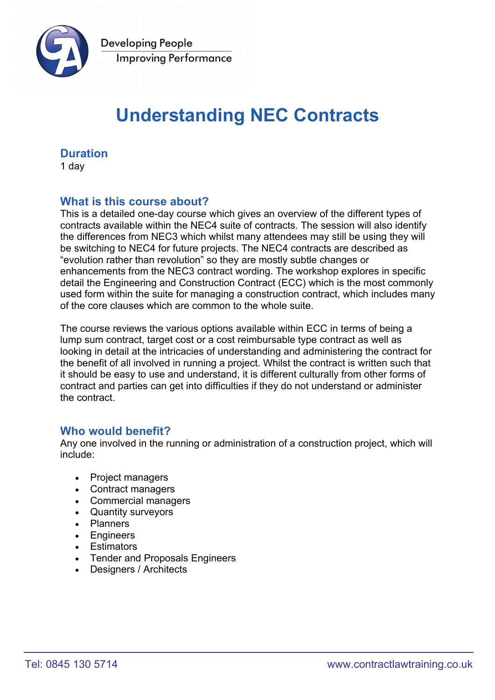

# **Understanding NEC Contracts**

# **Duration**

1 day

# **What is this course about?**

This is a detailed one-day course which gives an overview of the different types of contracts available within the NEC4 suite of contracts. The session will also identify the differences from NEC3 which whilst many attendees may still be using they will be switching to NEC4 for future projects. The NEC4 contracts are described as "evolution rather than revolution" so they are mostly subtle changes or enhancements from the NEC3 contract wording. The workshop explores in specific detail the Engineering and Construction Contract (ECC) which is the most commonly used form within the suite for managing a construction contract, which includes many of the core clauses which are common to the whole suite.

The course reviews the various options available within ECC in terms of being a lump sum contract, target cost or a cost reimbursable type contract as well as looking in detail at the intricacies of understanding and administering the contract for the benefit of all involved in running a project. Whilst the contract is written such that it should be easy to use and understand, it is different culturally from other forms of contract and parties can get into difficulties if they do not understand or administer the contract.

# **Who would benefit?**

Any one involved in the running or administration of a construction project, which will include:

- Project managers
- Contract managers
- Commercial managers
- Quantity surveyors
- Planners
- Engineers
- Estimators
- Tender and Proposals Engineers
- Designers / Architects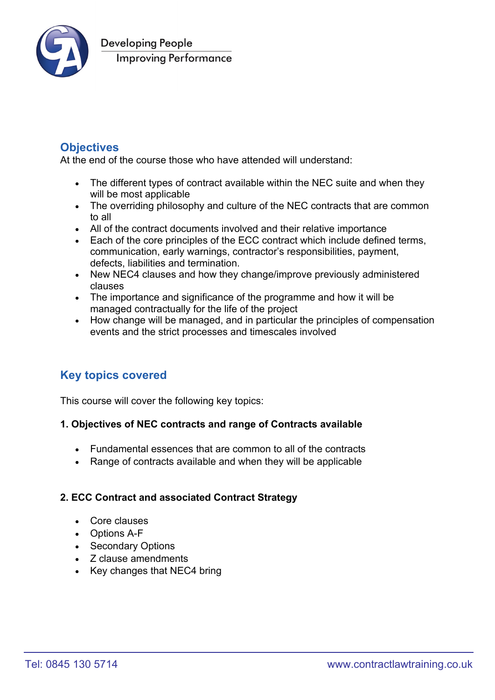

# **Objectives**

At the end of the course those who have attended will understand:

- The different types of contract available within the NEC suite and when they will be most applicable
- The overriding philosophy and culture of the NEC contracts that are common to all
- All of the contract documents involved and their relative importance
- Each of the core principles of the ECC contract which include defined terms, communication, early warnings, contractor's responsibilities, payment, defects, liabilities and termination.
- New NEC4 clauses and how they change/improve previously administered clauses
- The importance and significance of the programme and how it will be managed contractually for the life of the project
- How change will be managed, and in particular the principles of compensation events and the strict processes and timescales involved

# **Key topics covered**

This course will cover the following key topics:

#### **1. Objectives of NEC contracts and range of Contracts available**

- Fundamental essences that are common to all of the contracts
- Range of contracts available and when they will be applicable

#### **2. ECC Contract and associated Contract Strategy**

- Core clauses
- Options A-F
- Secondary Options
- Z clause amendments
- Key changes that NEC4 bring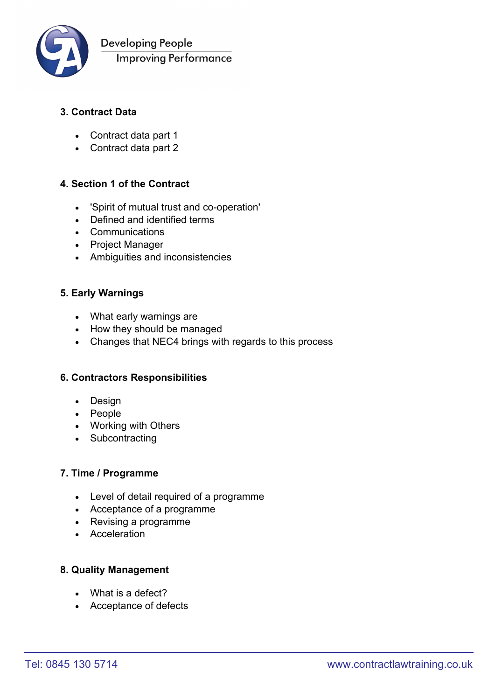

**Developing People Improving Performance** 

## **3. Contract Data**

- Contract data part 1
- Contract data part 2

#### **4. Section 1 of the Contract**

- 'Spirit of mutual trust and co-operation'
- Defined and identified terms
- Communications
- Project Manager
- Ambiguities and inconsistencies

#### **5. Early Warnings**

- What early warnings are
- How they should be managed
- Changes that NEC4 brings with regards to this process

#### **6. Contractors Responsibilities**

- Design
- People
- Working with Others
- Subcontracting

#### **7. Time / Programme**

- Level of detail required of a programme
- Acceptance of a programme
- Revising a programme
- Acceleration

#### **8. Quality Management**

- What is a defect?
- Acceptance of defects